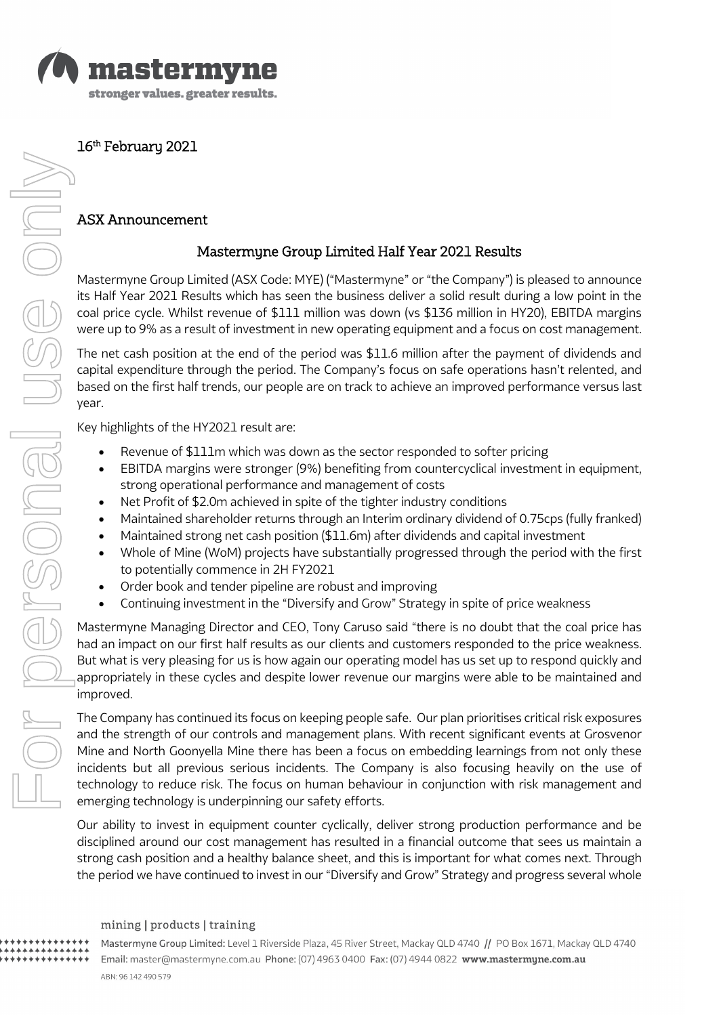

16<sup>th</sup> February 2021

# ASX Announcement

# Mastermyne Group Limited Half Year 2021 Results

Mastermyne Group Limited (ASX Code: MYE) ("Mastermyne" or "the Company") is pleased to announce its Half Year 2021 Results which has seen the business deliver a solid result during a low point in the coal price cycle. Whilst revenue of \$111 million was down (vs \$136 million in HY20), EBITDA margins were up to 9% as a result of investment in new operating equipment and a focus on cost management.

The net cash position at the end of the period was \$11.6 million after the payment of dividends and capital expenditure through the period. The Company's focus on safe operations hasn't relented, and based on the first half trends, our people are on track to achieve an improved performance versus last year.

Key highlights of the HY2021 result are:

- Revenue of \$111m which was down as the sector responded to softer pricing
- EBITDA margins were stronger (9%) benefiting from countercyclical investment in equipment, strong operational performance and management of costs
- Net Profit of \$2.0m achieved in spite of the tighter industry conditions
- Maintained shareholder returns through an Interim ordinary dividend of 0.75cps (fully franked)
- Maintained strong net cash position (\$11.6m) after dividends and capital investment
- Whole of Mine (WoM) projects have substantially progressed through the period with the first to potentially commence in 2H FY2021
- Order book and tender pipeline are robust and improving
- Continuing investment in the "Diversify and Grow" Strategy in spite of price weakness

Mastermyne Managing Director and CEO, Tony Caruso said "there is no doubt that the coal price has had an impact on our first half results as our clients and customers responded to the price weakness. But what is very pleasing for us is how again our operating model has us set up to respond quickly and appropriately in these cycles and despite lower revenue our margins were able to be maintained and improved.

The Company has continued its focus on keeping people safe. Our plan prioritises critical risk exposures and the strength of our controls and management plans. With recent significant events at Grosvenor Mine and North Goonyella Mine there has been a focus on embedding learnings from not only these incidents but all previous serious incidents. The Company is also focusing heavily on the use of technology to reduce risk. The focus on human behaviour in conjunction with risk management and emerging technology is underpinning our safety efforts.

Our ability to invest in equipment counter cyclically, deliver strong production performance and be disciplined around our cost management has resulted in a financial outcome that sees us maintain a strong cash position and a healthy balance sheet, and this is important for what comes next. Through the period we have continued to invest in our "Diversify and Grow" Strategy and progress several whole

#### mining | products | training

Mastermyne Group Limited: Level 1 Riverside Plaza, 45 River Street, Mackay QLD 4740 // PO Box 1671, Mackay QLD 4740 Email: master@mastermyne.com.au Phone: (07) 4963 0400 Fax: (07) 4944 0822 www.mastermyne.com.au ABN: 96 142 490 579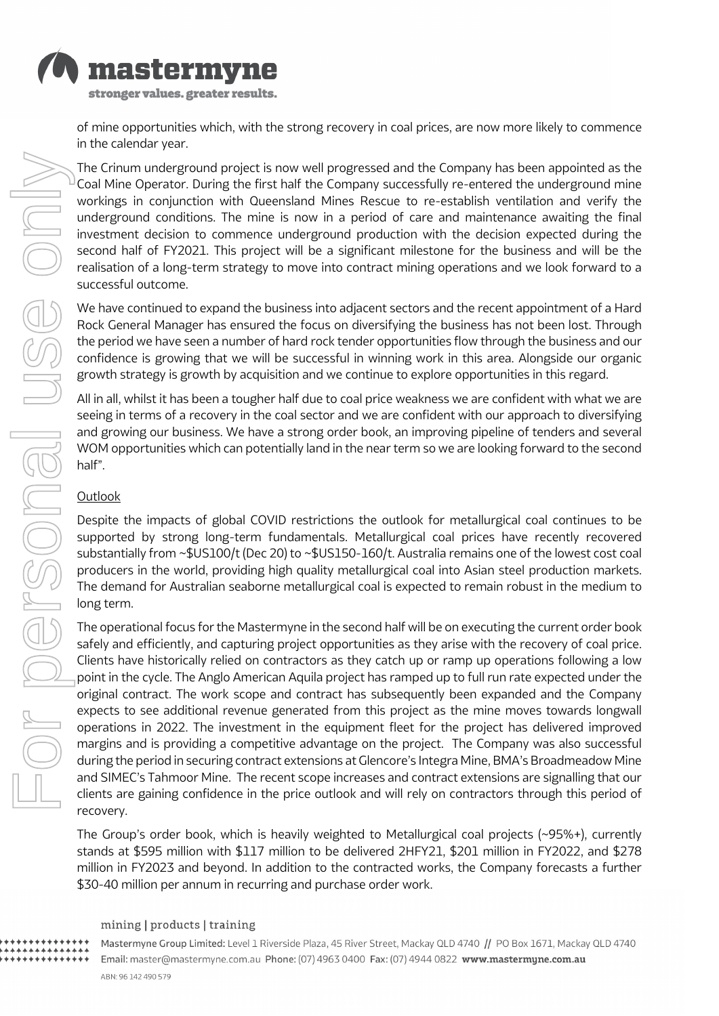

of mine opportunities which, with the strong recovery in coal prices, are now more likely to commence in the calendar year.

The Crinum underground project is now well progressed and the Company has been appointed as the Coal Mine Operator. During the first half the Company successfully re-entered the underground mine workings in conjunction with Queensland Mines Rescue to re-establish ventilation and verify the underground conditions. The mine is now in a period of care and maintenance awaiting the final investment decision to commence underground production with the decision expected during the second half of FY2021. This project will be a significant milestone for the business and will be the realisation of a long-term strategy to move into contract mining operations and we look forward to a successful outcome.

We have continued to expand the business into adjacent sectors and the recent appointment of a Hard Rock General Manager has ensured the focus on diversifying the business has not been lost. Through the period we have seen a number of hard rock tender opportunities flow through the business and our confidence is growing that we will be successful in winning work in this area. Alongside our organic growth strategy is growth by acquisition and we continue to explore opportunities in this regard.

All in all, whilst it has been a tougher half due to coal price weakness we are confident with what we are seeing in terms of a recovery in the coal sector and we are confident with our approach to diversifying and growing our business. We have a strong order book, an improving pipeline of tenders and several WOM opportunities which can potentially land in the near term so we are looking forward to the second half".

### **Outlook**

Despite the impacts of global COVID restrictions the outlook for metallurgical coal continues to be supported by strong long-term fundamentals. Metallurgical coal prices have recently recovered substantially from ~\$US100/t (Dec 20) to ~\$US150-160/t. Australia remains one of the lowest cost coal producers in the world, providing high quality metallurgical coal into Asian steel production markets. The demand for Australian seaborne metallurgical coal is expected to remain robust in the medium to long term.

The operational focus for the Mastermyne in the second half will be on executing the current order book safely and efficiently, and capturing project opportunities as they arise with the recovery of coal price. Clients have historically relied on contractors as they catch up or ramp up operations following a low point in the cycle. The Anglo American Aquila project has ramped up to full run rate expected under the original contract. The work scope and contract has subsequently been expanded and the Company expects to see additional revenue generated from this project as the mine moves towards longwall operations in 2022. The investment in the equipment fleet for the project has delivered improved margins and is providing a competitive advantage on the project. The Company was also successful during the period in securing contract extensions at Glencore's Integra Mine, BMA's Broadmeadow Mine and SIMEC's Tahmoor Mine. The recent scope increases and contract extensions are signalling that our clients are gaining confidence in the price outlook and will rely on contractors through this period of recovery.

The Group's order book, which is heavily weighted to Metallurgical coal projects (~95%+), currently stands at \$595 million with \$117 million to be delivered 2HFY21, \$201 million in FY2022, and \$278 million in FY2023 and beyond. In addition to the contracted works, the Company forecasts a further \$30-40 million per annum in recurring and purchase order work.

#### mining | products | training

Mastermyne Group Limited: Level 1 Riverside Plaza, 45 River Street, Mackay QLD 4740 // PO Box 1671, Mackay QLD 4740 Email: master@mastermyne.com.au Phone: (07) 4963 0400 Fax: (07) 4944 0822 www.mastermyne.com.au ABN: 96 142 490 579